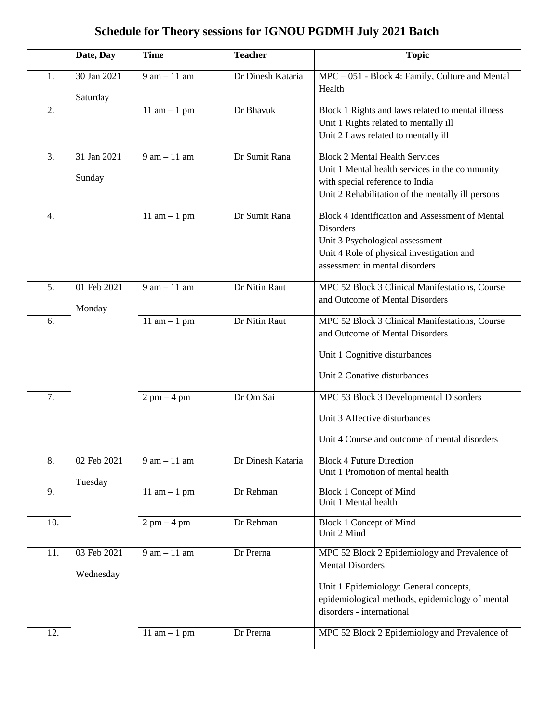|                  | Date, Day                | <b>Time</b>     | <b>Teacher</b>    | <b>Topic</b>                                                                                                                                                                                       |
|------------------|--------------------------|-----------------|-------------------|----------------------------------------------------------------------------------------------------------------------------------------------------------------------------------------------------|
| 1.               | 30 Jan 2021<br>Saturday  | $9$ am $-11$ am | Dr Dinesh Kataria | MPC - 051 - Block 4: Family, Culture and Mental<br>Health                                                                                                                                          |
| 2.               |                          | 11 am $-1$ pm   | Dr Bhavuk         | Block 1 Rights and laws related to mental illness<br>Unit 1 Rights related to mentally ill<br>Unit 2 Laws related to mentally ill                                                                  |
| 3.               | 31 Jan 2021<br>Sunday    | $9$ am $-11$ am | Dr Sumit Rana     | <b>Block 2 Mental Health Services</b><br>Unit 1 Mental health services in the community<br>with special reference to India<br>Unit 2 Rehabilitation of the mentally ill persons                    |
| $\overline{4}$ . |                          | 11 am $-1$ pm   | Dr Sumit Rana     | Block 4 Identification and Assessment of Mental<br><b>Disorders</b><br>Unit 3 Psychological assessment<br>Unit 4 Role of physical investigation and<br>assessment in mental disorders              |
| 5.               | 01 Feb 2021<br>Monday    | $9$ am $-11$ am | Dr Nitin Raut     | MPC 52 Block 3 Clinical Manifestations, Course<br>and Outcome of Mental Disorders                                                                                                                  |
| 6.               |                          | 11 am $-1$ pm   | Dr Nitin Raut     | MPC 52 Block 3 Clinical Manifestations, Course<br>and Outcome of Mental Disorders<br>Unit 1 Cognitive disturbances<br>Unit 2 Conative disturbances                                                 |
| 7.               |                          | $2$ pm $-4$ pm  | Dr Om Sai         | MPC 53 Block 3 Developmental Disorders<br>Unit 3 Affective disturbances<br>Unit 4 Course and outcome of mental disorders                                                                           |
| 8.               | 02 Feb 2021              | $9$ am $-11$ am | Dr Dinesh Kataria | <b>Block 4 Future Direction</b><br>Unit 1 Promotion of mental health                                                                                                                               |
| 9.               | Tuesday                  | 11 am $-1$ pm   | Dr Rehman         | Block 1 Concept of Mind<br>Unit 1 Mental health                                                                                                                                                    |
| 10.              |                          | $2$ pm $-4$ pm  | Dr Rehman         | Block 1 Concept of Mind<br>Unit 2 Mind                                                                                                                                                             |
| 11.              | 03 Feb 2021<br>Wednesday | $9$ am $-11$ am | Dr Prerna         | MPC 52 Block 2 Epidemiology and Prevalence of<br><b>Mental Disorders</b><br>Unit 1 Epidemiology: General concepts,<br>epidemiological methods, epidemiology of mental<br>disorders - international |
| 12.              |                          | 11 am $-1$ pm   | Dr Prerna         | MPC 52 Block 2 Epidemiology and Prevalence of                                                                                                                                                      |

## **Schedule for Theory sessions for IGNOU PGDMH July 2021 Batch**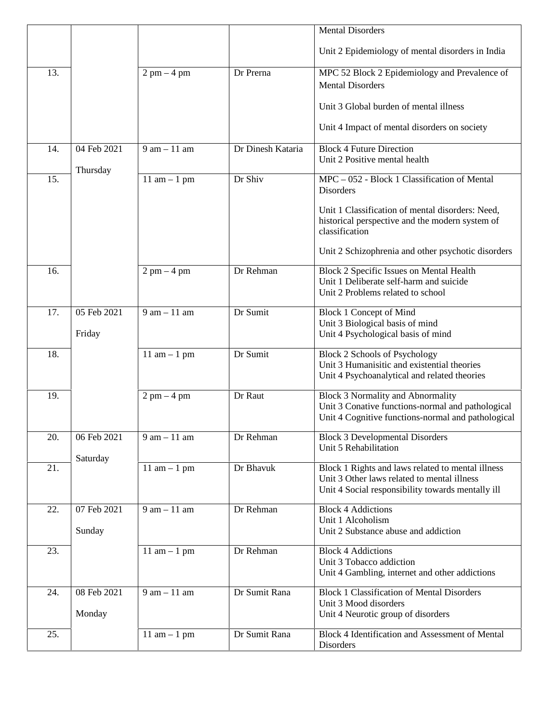|     |             |                                |                   | <b>Mental Disorders</b>                                                                                               |
|-----|-------------|--------------------------------|-------------------|-----------------------------------------------------------------------------------------------------------------------|
|     |             |                                |                   | Unit 2 Epidemiology of mental disorders in India                                                                      |
| 13. |             | $2$ pm $-4$ pm                 | Dr Prerna         | MPC 52 Block 2 Epidemiology and Prevalence of                                                                         |
|     |             |                                |                   | <b>Mental Disorders</b>                                                                                               |
|     |             |                                |                   | Unit 3 Global burden of mental illness                                                                                |
|     |             |                                |                   | Unit 4 Impact of mental disorders on society                                                                          |
| 14. | 04 Feb 2021 | $9$ am $-11$ am                | Dr Dinesh Kataria | <b>Block 4 Future Direction</b>                                                                                       |
|     |             |                                |                   | Unit 2 Positive mental health                                                                                         |
| 15. | Thursday    | 11 am $-1$ pm                  | Dr Shiv           | MPC - 052 - Block 1 Classification of Mental<br>Disorders                                                             |
|     |             |                                |                   | Unit 1 Classification of mental disorders: Need,<br>historical perspective and the modern system of<br>classification |
|     |             |                                |                   | Unit 2 Schizophrenia and other psychotic disorders                                                                    |
| 16. |             | $2$ pm $-4$ pm                 | Dr Rehman         | Block 2 Specific Issues on Mental Health                                                                              |
|     |             |                                |                   | Unit 1 Deliberate self-harm and suicide<br>Unit 2 Problems related to school                                          |
| 17. | 05 Feb 2021 | $9$ am $-11$ am                | Dr Sumit          | <b>Block 1 Concept of Mind</b>                                                                                        |
|     |             |                                |                   | Unit 3 Biological basis of mind                                                                                       |
|     | Friday      |                                |                   | Unit 4 Psychological basis of mind                                                                                    |
| 18. |             | 11 am $-1$ pm                  | Dr Sumit          | <b>Block 2 Schools of Psychology</b>                                                                                  |
|     |             |                                |                   | Unit 3 Humanisitic and existential theories                                                                           |
|     |             |                                |                   | Unit 4 Psychoanalytical and related theories                                                                          |
| 19. |             | $2$ pm $-4$ pm                 | Dr Raut           | <b>Block 3 Normality and Abnormality</b>                                                                              |
|     |             |                                |                   | Unit 3 Conative functions-normal and pathological<br>Unit 4 Cognitive functions-normal and pathological               |
| 20. | 06 Feb 2021 | $9 \text{ am} - 11 \text{ am}$ | Dr Rehman         | <b>Block 3 Developmental Disorders</b>                                                                                |
|     |             |                                |                   | Unit 5 Rehabilitation                                                                                                 |
| 21. | Saturday    | $11$ am $-1$ pm                | Dr Bhavuk         | Block 1 Rights and laws related to mental illness                                                                     |
|     |             |                                |                   | Unit 3 Other laws related to mental illness                                                                           |
|     |             |                                |                   | Unit 4 Social responsibility towards mentally ill                                                                     |
| 22. | 07 Feb 2021 | $9$ am $-11$ am                | Dr Rehman         | <b>Block 4 Addictions</b>                                                                                             |
|     |             |                                |                   | Unit 1 Alcoholism                                                                                                     |
|     | Sunday      |                                |                   | Unit 2 Substance abuse and addiction                                                                                  |
| 23. |             | 11 am $-1$ pm                  | Dr Rehman         | <b>Block 4 Addictions</b>                                                                                             |
|     |             |                                |                   | Unit 3 Tobacco addiction                                                                                              |
|     |             |                                |                   | Unit 4 Gambling, internet and other addictions                                                                        |
| 24. | 08 Feb 2021 | $9$ am $-11$ am                | Dr Sumit Rana     | <b>Block 1 Classification of Mental Disorders</b>                                                                     |
|     |             |                                |                   | Unit 3 Mood disorders                                                                                                 |
|     | Monday      |                                |                   | Unit 4 Neurotic group of disorders                                                                                    |
| 25. |             | $11$ am $-1$ pm                | Dr Sumit Rana     | Block 4 Identification and Assessment of Mental                                                                       |
|     |             |                                |                   | Disorders                                                                                                             |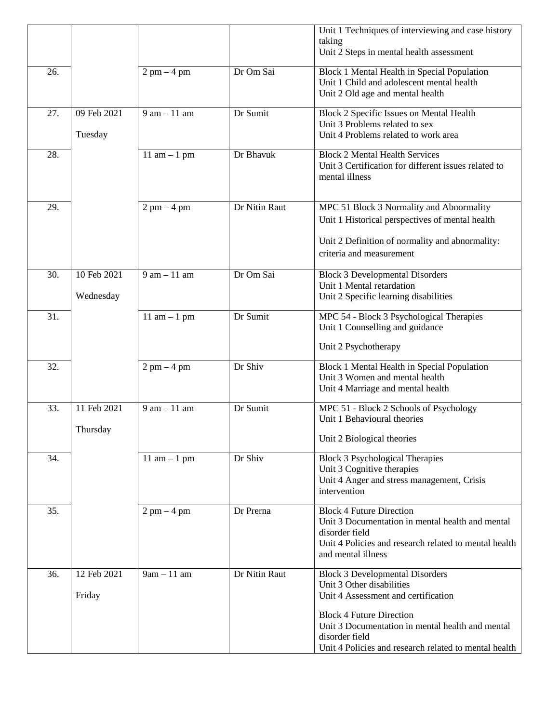|     |                          |                 |               | Unit 1 Techniques of interviewing and case history<br>taking<br>Unit 2 Steps in mental health assessment                                                                             |
|-----|--------------------------|-----------------|---------------|--------------------------------------------------------------------------------------------------------------------------------------------------------------------------------------|
| 26. |                          | $2$ pm $-4$ pm  | Dr Om Sai     | Block 1 Mental Health in Special Population<br>Unit 1 Child and adolescent mental health<br>Unit 2 Old age and mental health                                                         |
| 27. | 09 Feb 2021<br>Tuesday   | $9$ am $-11$ am | Dr Sumit      | Block 2 Specific Issues on Mental Health<br>Unit 3 Problems related to sex<br>Unit 4 Problems related to work area                                                                   |
| 28. |                          | 11 am $-1$ pm   | Dr Bhavuk     | <b>Block 2 Mental Health Services</b><br>Unit 3 Certification for different issues related to<br>mental illness                                                                      |
| 29. |                          | $2$ pm $-4$ pm  | Dr Nitin Raut | MPC 51 Block 3 Normality and Abnormality<br>Unit 1 Historical perspectives of mental health                                                                                          |
|     |                          |                 |               | Unit 2 Definition of normality and abnormality:<br>criteria and measurement                                                                                                          |
| 30. | 10 Feb 2021<br>Wednesday | $9$ am $-11$ am | Dr Om Sai     | <b>Block 3 Developmental Disorders</b><br>Unit 1 Mental retardation<br>Unit 2 Specific learning disabilities                                                                         |
| 31. |                          | 11 am $-1$ pm   | Dr Sumit      | MPC 54 - Block 3 Psychological Therapies<br>Unit 1 Counselling and guidance                                                                                                          |
|     |                          |                 |               | Unit 2 Psychotherapy                                                                                                                                                                 |
| 32. |                          | $2$ pm $-4$ pm  | Dr Shiv       | Block 1 Mental Health in Special Population<br>Unit 3 Women and mental health<br>Unit 4 Marriage and mental health                                                                   |
| 33. | 11 Feb 2021              | $9$ am $-11$ am | Dr Sumit      | MPC 51 - Block 2 Schools of Psychology<br>Unit 1 Behavioural theories                                                                                                                |
|     | Thursday                 |                 |               | Unit 2 Biological theories                                                                                                                                                           |
| 34. |                          | 11 am $-1$ pm   | Dr Shiv       | <b>Block 3 Psychological Therapies</b><br>Unit 3 Cognitive therapies<br>Unit 4 Anger and stress management, Crisis<br>intervention                                                   |
| 35. |                          | $2$ pm $-4$ pm  | Dr Prerna     | <b>Block 4 Future Direction</b><br>Unit 3 Documentation in mental health and mental<br>disorder field<br>Unit 4 Policies and research related to mental health<br>and mental illness |
| 36. | 12 Feb 2021<br>Friday    | $9am - 11am$    | Dr Nitin Raut | <b>Block 3 Developmental Disorders</b><br>Unit 3 Other disabilities<br>Unit 4 Assessment and certification                                                                           |
|     |                          |                 |               | <b>Block 4 Future Direction</b><br>Unit 3 Documentation in mental health and mental<br>disorder field<br>Unit 4 Policies and research related to mental health                       |